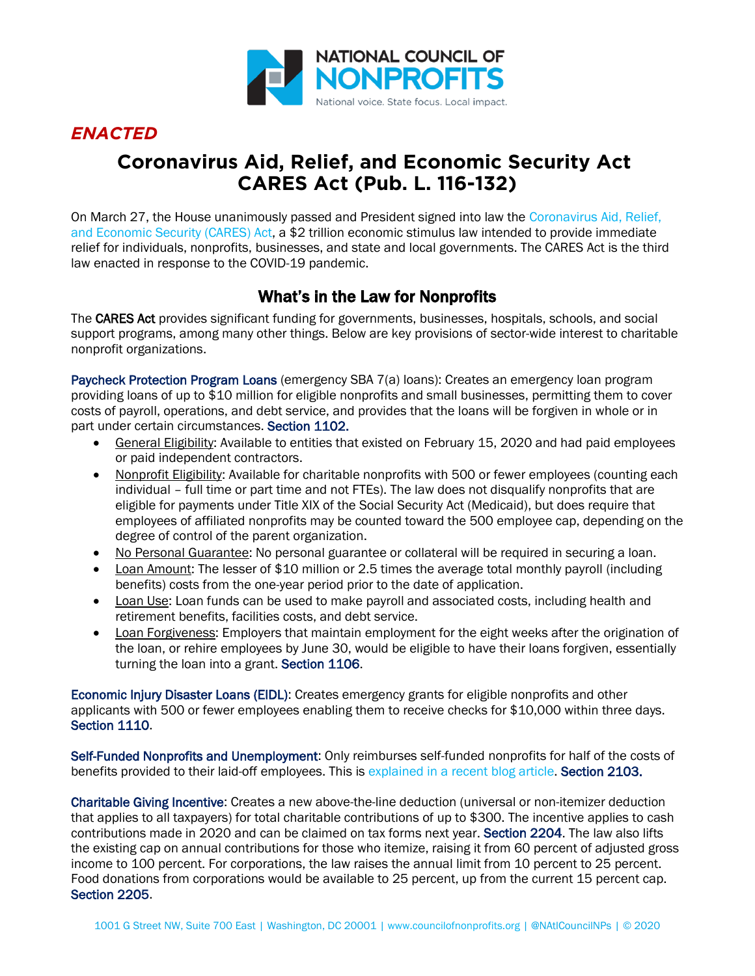

## *ENACTED*

# **Coronavirus Aid, Relief, and Economic Security Act CARES Act (Pub. L. 116-132)**

On March 27, the House unanimously passed and President signed into law the [Coronavirus Aid, Relief,](https://www.congress.gov/116/bills/hr748/BILLS-116hr748eas.pdf)  [and Economic Security \(CARES\) Act,](https://www.congress.gov/116/bills/hr748/BILLS-116hr748eas.pdf) a \$2 trillion economic stimulus law intended to provide immediate relief for individuals, nonprofits, businesses, and state and local governments. The CARES Act is the third law enacted in response to the COVID-19 pandemic.

### What's in the Law for Nonprofits

The CARES Act provides significant funding for governments, businesses, hospitals, schools, and social support programs, among many other things. Below are key provisions of sector-wide interest to charitable nonprofit organizations.

Paycheck Protection Program Loans (emergency SBA 7(a) loans): Creates an emergency loan program providing loans of up to \$10 million for eligible nonprofits and small businesses, permitting them to cover costs of payroll, operations, and debt service, and provides that the loans will be forgiven in whole or in part under certain circumstances. Section 1102.

- General Eligibility: Available to entities that existed on February 15, 2020 and had paid employees or paid independent contractors.
- Nonprofit Eligibility: Available for charitable nonprofits with 500 or fewer employees (counting each individual – full time or part time and not FTEs). The law does not disqualify nonprofits that are eligible for payments under Title XIX of the Social Security Act (Medicaid), but does require that employees of affiliated nonprofits may be counted toward the 500 employee cap, depending on the degree of control of the parent organization.
- No Personal Guarantee: No personal guarantee or collateral will be required in securing a loan.
- Loan Amount: The lesser of \$10 million or 2.5 times the average total monthly payroll (including benefits) costs from the one-year period prior to the date of application.
- Loan Use: Loan funds can be used to make payroll and associated costs, including health and retirement benefits, facilities costs, and debt service.
- Loan Forgiveness: Employers that maintain employment for the eight weeks after the origination of the loan, or rehire employees by June 30, would be eligible to have their loans forgiven, essentially turning the loan into a grant. Section 1106.

Economic Injury Disaster Loans (EIDL): Creates emergency grants for eligible nonprofits and other applicants with 500 or fewer employees enabling them to receive checks for \$10,000 within three days. Section 1110.

Self-Funded Nonprofits and Unemployment: Only reimburses self-funded nonprofits for half of the costs of benefits provided to their laid-off employees. This is [explained in a recent blog article.](https://www.councilofnonprofits.org/thought-leadership/self-insured-nonprofits-and-unemployment-insurance) Section 2103.

Charitable Giving Incentive: Creates a new above-the-line deduction (universal or non-itemizer deduction that applies to all taxpayers) for total charitable contributions of up to \$300. The incentive applies to cash contributions made in 2020 and can be claimed on tax forms next year. Section 2204. The law also lifts the existing cap on annual contributions for those who itemize, raising it from 60 percent of adjusted gross income to 100 percent. For corporations, the law raises the annual limit from 10 percent to 25 percent. Food donations from corporations would be available to 25 percent, up from the current 15 percent cap. Section 2205.